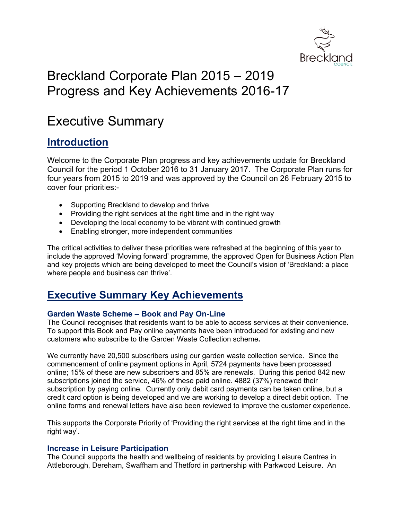

# Breckland Corporate Plan 2015 – 2019 Progress and Key Achievements 2016-17

# Executive Summary

# **Introduction**

Welcome to the Corporate Plan progress and key achievements update for Breckland Council for the period 1 October 2016 to 31 January 2017. The Corporate Plan runs for four years from 2015 to 2019 and was approved by the Council on 26 February 2015 to cover four priorities:-

- Supporting Breckland to develop and thrive
- Providing the right services at the right time and in the right way
- Developing the local economy to be vibrant with continued growth
- Enabling stronger, more independent communities

The critical activities to deliver these priorities were refreshed at the beginning of this year to include the approved 'Moving forward' programme, the approved Open for Business Action Plan and key projects which are being developed to meet the Council's vision of 'Breckland: a place where people and business can thrive'.

# **Executive Summary Key Achievements**

# **Garden Waste Scheme – Book and Pay On-Line**

The Council recognises that residents want to be able to access services at their convenience. To support this Book and Pay online payments have been introduced for existing and new customers who subscribe to the Garden Waste Collection scheme**.**

We currently have 20,500 subscribers using our garden waste collection service. Since the commencement of online payment options in April, 5724 payments have been processed online; 15% of these are new subscribers and 85% are renewals. During this period 842 new subscriptions joined the service, 46% of these paid online. 4882 (37%) renewed their subscription by paying online. Currently only debit card payments can be taken online, but a credit card option is being developed and we are working to develop a direct debit option. The online forms and renewal letters have also been reviewed to improve the customer experience.

This supports the Corporate Priority of 'Providing the right services at the right time and in the right way'.

# **Increase in Leisure Participation**

The Council supports the health and wellbeing of residents by providing Leisure Centres in Attleborough, Dereham, Swaffham and Thetford in partnership with Parkwood Leisure. An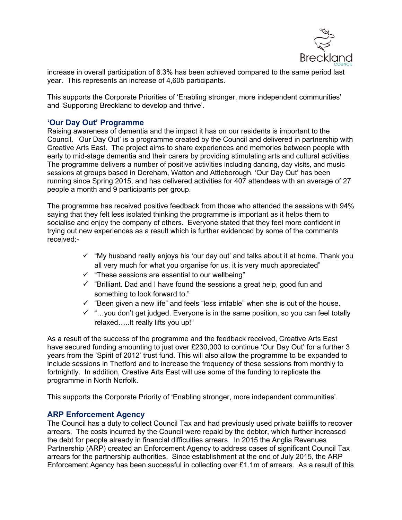

increase in overall participation of 6.3% has been achieved compared to the same period last year. This represents an increase of 4,605 participants.

This supports the Corporate Priorities of 'Enabling stronger, more independent communities' and 'Supporting Breckland to develop and thrive'.

# **'Our Day Out' Programme**

Raising awareness of dementia and the impact it has on our residents is important to the Council. 'Our Day Out' is a programme created by the Council and delivered in partnership with Creative Arts East. The project aims to share experiences and memories between people with early to mid-stage dementia and their carers by providing stimulating arts and cultural activities. The programme delivers a number of positive activities including dancing, day visits, and music sessions at groups based in Dereham, Watton and Attleborough. 'Our Day Out' has been running since Spring 2015, and has delivered activities for 407 attendees with an average of 27 people a month and 9 participants per group.

The programme has received positive feedback from those who attended the sessions with 94% saying that they felt less isolated thinking the programme is important as it helps them to socialise and enjoy the company of others. Everyone stated that they feel more confident in trying out new experiences as a result which is further evidenced by some of the comments received:-

- $\checkmark$  "My husband really enjoys his 'our day out' and talks about it at home. Thank you all very much for what you organise for us, it is very much appreciated"
- $\checkmark$  "These sessions are essential to our wellbeing"
- $\checkmark$  "Brilliant. Dad and I have found the sessions a great help, good fun and something to look forward to."
- $\checkmark$  "Been given a new life" and feels "less irritable" when she is out of the house.
- $\checkmark$  "...you don't get judged. Everyone is in the same position, so you can feel totally relaxed…..It really lifts you up!"

As a result of the success of the programme and the feedback received, Creative Arts East have secured funding amounting to just over £230,000 to continue 'Our Day Out' for a further 3 years from the 'Spirit of 2012' trust fund. This will also allow the programme to be expanded to include sessions in Thetford and to increase the frequency of these sessions from monthly to fortnightly. In addition, Creative Arts East will use some of the funding to replicate the programme in North Norfolk.

This supports the Corporate Priority of 'Enabling stronger, more independent communities'.

# **ARP Enforcement Agency**

The Council has a duty to collect Council Tax and had previously used private bailiffs to recover arrears. The costs incurred by the Council were repaid by the debtor, which further increased the debt for people already in financial difficulties arrears. In 2015 the Anglia Revenues Partnership (ARP) created an Enforcement Agency to address cases of significant Council Tax arrears for the partnership authorities. Since establishment at the end of July 2015, the ARP Enforcement Agency has been successful in collecting over £1.1m of arrears. As a result of this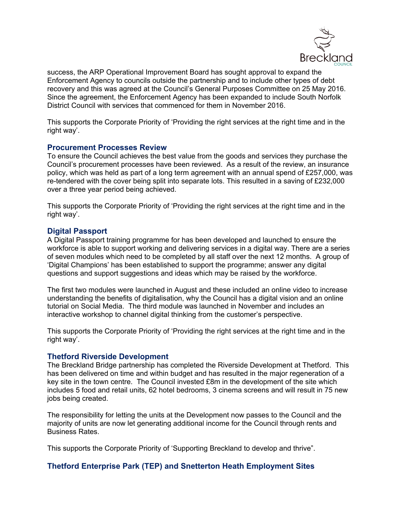

success, the ARP Operational Improvement Board has sought approval to expand the Enforcement Agency to councils outside the partnership and to include other types of debt recovery and this was agreed at the Council's General Purposes Committee on 25 May 2016. Since the agreement, the Enforcement Agency has been expanded to include South Norfolk District Council with services that commenced for them in November 2016.

This supports the Corporate Priority of 'Providing the right services at the right time and in the right way'.

#### **Procurement Processes Review**

To ensure the Council achieves the best value from the goods and services they purchase the Council's procurement processes have been reviewed. As a result of the review, an insurance policy, which was held as part of a long term agreement with an annual spend of £257,000, was re-tendered with the cover being split into separate lots. This resulted in a saving of £232,000 over a three year period being achieved.

This supports the Corporate Priority of 'Providing the right services at the right time and in the right way'.

#### **Digital Passport**

A Digital Passport training programme for has been developed and launched to ensure the workforce is able to support working and delivering services in a digital way. There are a series of seven modules which need to be completed by all staff over the next 12 months. A group of 'Digital Champions' has been established to support the programme; answer any digital questions and support suggestions and ideas which may be raised by the workforce.

The first two modules were launched in August and these included an online video to increase understanding the benefits of digitalisation, why the Council has a digital vision and an online tutorial on Social Media. The third module was launched in November and includes an interactive workshop to channel digital thinking from the customer's perspective.

This supports the Corporate Priority of 'Providing the right services at the right time and in the right way'.

#### **Thetford Riverside Development**

The Breckland Bridge partnership has completed the Riverside Development at Thetford. This has been delivered on time and within budget and has resulted in the major regeneration of a key site in the town centre. The Council invested £8m in the development of the site which includes 5 food and retail units, 62 hotel bedrooms, 3 cinema screens and will result in 75 new jobs being created.

The responsibility for letting the units at the Development now passes to the Council and the majority of units are now let generating additional income for the Council through rents and Business Rates.

This supports the Corporate Priority of 'Supporting Breckland to develop and thrive".

# **Thetford Enterprise Park (TEP) and Snetterton Heath Employment Sites**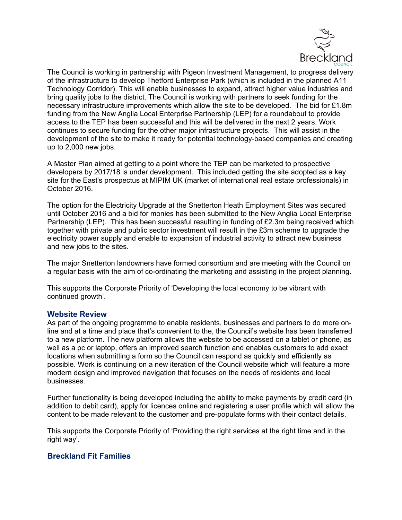

The Council is working in partnership with Pigeon Investment Management, to progress delivery of the infrastructure to develop Thetford Enterprise Park (which is included in the planned A11 Technology Corridor). This will enable businesses to expand, attract higher value industries and bring quality jobs to the district. The Council is working with partners to seek funding for the necessary infrastructure improvements which allow the site to be developed. The bid for £1.8m funding from the New Anglia Local Enterprise Partnership (LEP) for a roundabout to provide access to the TEP has been successful and this will be delivered in the next 2 years. Work continues to secure funding for the other major infrastructure projects. This will assist in the development of the site to make it ready for potential technology-based companies and creating up to 2,000 new jobs.

A Master Plan aimed at getting to a point where the TEP can be marketed to prospective developers by 2017/18 is under development. This included getting the site adopted as a key site for the East's prospectus at MIPIM UK (market of international real estate professionals) in October 2016.

The option for the Electricity Upgrade at the Snetterton Heath Employment Sites was secured until October 2016 and a bid for monies has been submitted to the New Anglia Local Enterprise Partnership (LEP). This has been successful resulting in funding of £2.3m being received which together with private and public sector investment will result in the £3m scheme to upgrade the electricity power supply and enable to expansion of industrial activity to attract new business and new jobs to the sites.

The major Snetterton landowners have formed consortium and are meeting with the Council on a regular basis with the aim of co-ordinating the marketing and assisting in the project planning.

This supports the Corporate Priority of 'Developing the local economy to be vibrant with continued growth'.

#### **Website Review**

As part of the ongoing programme to enable residents, businesses and partners to do more online and at a time and place that's convenient to the, the Council's website has been transferred to a new platform. The new platform allows the website to be accessed on a tablet or phone, as well as a pc or laptop, offers an improved search function and enables customers to add exact locations when submitting a form so the Council can respond as quickly and efficiently as possible. Work is continuing on a new iteration of the Council website which will feature a more modern design and improved navigation that focuses on the needs of residents and local businesses.

Further functionality is being developed including the ability to make payments by credit card (in addition to debit card), apply for licences online and registering a user profile which will allow the content to be made relevant to the customer and pre-populate forms with their contact details.

This supports the Corporate Priority of 'Providing the right services at the right time and in the right way'.

# **Breckland Fit Families**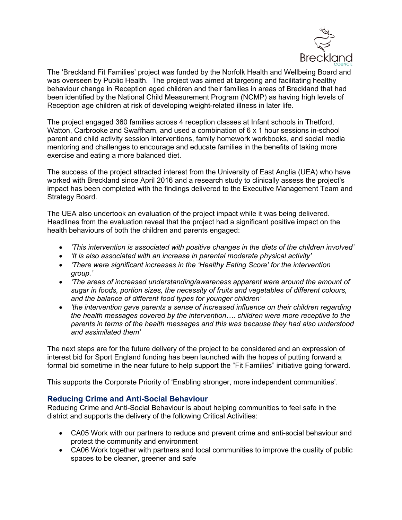

The 'Breckland Fit Families' project was funded by the Norfolk Health and Wellbeing Board and was overseen by Public Health. The project was aimed at targeting and facilitating healthy behaviour change in Reception aged children and their families in areas of Breckland that had been identified by the National Child Measurement Program (NCMP) as having high levels of Reception age children at risk of developing weight-related illness in later life.

The project engaged 360 families across 4 reception classes at Infant schools in Thetford, Watton, Carbrooke and Swaffham, and used a combination of 6 x 1 hour sessions in-school parent and child activity session interventions, family homework workbooks, and social media mentoring and challenges to encourage and educate families in the benefits of taking more exercise and eating a more balanced diet.

The success of the project attracted interest from the University of East Anglia (UEA) who have worked with Breckland since April 2016 and a research study to clinically assess the project's impact has been completed with the findings delivered to the Executive Management Team and Strategy Board.

The UEA also undertook an evaluation of the project impact while it was being delivered. Headlines from the evaluation reveal that the project had a significant positive impact on the health behaviours of both the children and parents engaged:

- *'This intervention is associated with positive changes in the diets of the children involved'*
- *'It is also associated with an increase in parental moderate physical activity'*
- *'There were significant increases in the 'Healthy Eating Score' for the intervention group.'*
- *'The areas of increased understanding/awareness apparent were around the amount of sugar in foods, portion sizes, the necessity of fruits and vegetables of different colours, and the balance of different food types for younger children'*
- *'the intervention gave parents a sense of increased influence on their children regarding the health messages covered by the intervention…. children were more receptive to the parents in terms of the health messages and this was because they had also understood and assimilated them'*

The next steps are for the future delivery of the project to be considered and an expression of interest bid for Sport England funding has been launched with the hopes of putting forward a formal bid sometime in the near future to help support the "Fit Families" initiative going forward.

This supports the Corporate Priority of 'Enabling stronger, more independent communities'.

# **Reducing Crime and Anti-Social Behaviour**

Reducing Crime and Anti-Social Behaviour is about helping communities to feel safe in the district and supports the delivery of the following Critical Activities:

- CA05 Work with our partners to reduce and prevent crime and anti-social behaviour and protect the community and environment
- CA06 Work together with partners and local communities to improve the quality of public spaces to be cleaner, greener and safe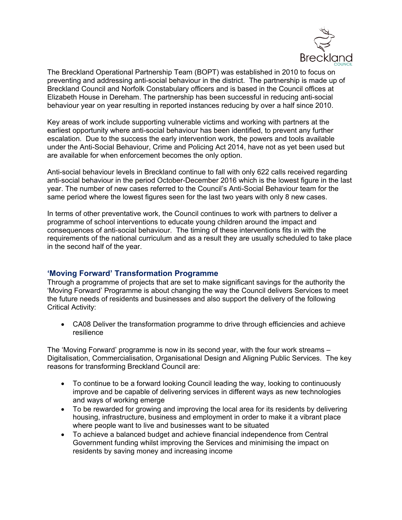

The Breckland Operational Partnership Team (BOPT) was established in 2010 to focus on preventing and addressing anti-social behaviour in the district. The partnership is made up of Breckland Council and Norfolk Constabulary officers and is based in the Council offices at Elizabeth House in Dereham. The partnership has been successful in reducing anti-social behaviour year on year resulting in reported instances reducing by over a half since 2010.

Key areas of work include supporting vulnerable victims and working with partners at the earliest opportunity where anti-social behaviour has been identified, to prevent any further escalation. Due to the success the early intervention work, the powers and tools available under the Anti-Social Behaviour, Crime and Policing Act 2014, have not as yet been used but are available for when enforcement becomes the only option.

Anti-social behaviour levels in Breckland continue to fall with only 622 calls received regarding anti-social behaviour in the period October-December 2016 which is the lowest figure in the last year. The number of new cases referred to the Council's Anti-Social Behaviour team for the same period where the lowest figures seen for the last two years with only 8 new cases.

In terms of other preventative work, the Council continues to work with partners to deliver a programme of school interventions to educate young children around the impact and consequences of anti-social behaviour. The timing of these interventions fits in with the requirements of the national curriculum and as a result they are usually scheduled to take place in the second half of the year.

# **'Moving Forward' Transformation Programme**

Through a programme of projects that are set to make significant savings for the authority the 'Moving Forward' Programme is about changing the way the Council delivers Services to meet the future needs of residents and businesses and also support the delivery of the following Critical Activity:

 CA08 Deliver the transformation programme to drive through efficiencies and achieve resilience

The 'Moving Forward' programme is now in its second year, with the four work streams – Digitalisation, Commercialisation, Organisational Design and Aligning Public Services. The key reasons for transforming Breckland Council are:

- To continue to be a forward looking Council leading the way, looking to continuously improve and be capable of delivering services in different ways as new technologies and ways of working emerge
- To be rewarded for growing and improving the local area for its residents by delivering housing, infrastructure, business and employment in order to make it a vibrant place where people want to live and businesses want to be situated
- To achieve a balanced budget and achieve financial independence from Central Government funding whilst improving the Services and minimising the impact on residents by saving money and increasing income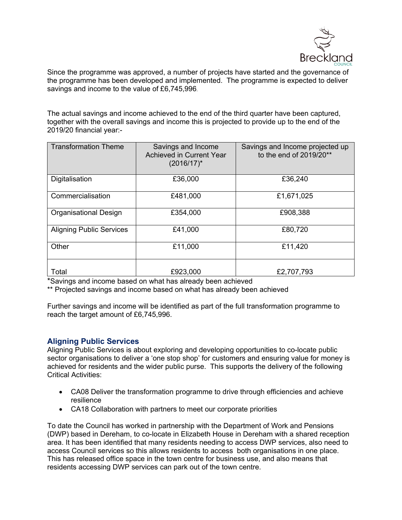

Since the programme was approved, a number of projects have started and the governance of the programme has been developed and implemented. The programme is expected to deliver savings and income to the value of £6,745,996.

The actual savings and income achieved to the end of the third quarter have been captured, together with the overall savings and income this is projected to provide up to the end of the 2019/20 financial year:-

| <b>Transformation Theme</b>     | Savings and Income<br><b>Achieved in Current Year</b><br>$(2016/17)^*$ | Savings and Income projected up<br>to the end of 2019/20** |
|---------------------------------|------------------------------------------------------------------------|------------------------------------------------------------|
| Digitalisation                  | £36,000                                                                | £36,240                                                    |
| Commercialisation               | £481,000                                                               | £1,671,025                                                 |
| <b>Organisational Design</b>    | £354,000                                                               | £908,388                                                   |
| <b>Aligning Public Services</b> | £41,000                                                                | £80,720                                                    |
| Other                           | £11,000                                                                | £11,420                                                    |
| Total                           | £923,000                                                               | £2,707,793                                                 |

\*Savings and income based on what has already been achieved

\*\* Projected savings and income based on what has already been achieved

Further savings and income will be identified as part of the full transformation programme to reach the target amount of £6,745,996.

# **Aligning Public Services**

Aligning Public Services is about exploring and developing opportunities to co-locate public sector organisations to deliver a 'one stop shop' for customers and ensuring value for money is achieved for residents and the wider public purse. This supports the delivery of the following Critical Activities:

- CA08 Deliver the transformation programme to drive through efficiencies and achieve resilience
- CA18 Collaboration with partners to meet our corporate priorities

To date the Council has worked in partnership with the Department of Work and Pensions (DWP) based in Dereham, to co-locate in Elizabeth House in Dereham with a shared reception area. It has been identified that many residents needing to access DWP services, also need to access Council services so this allows residents to access both organisations in one place. This has released office space in the town centre for business use, and also means that residents accessing DWP services can park out of the town centre.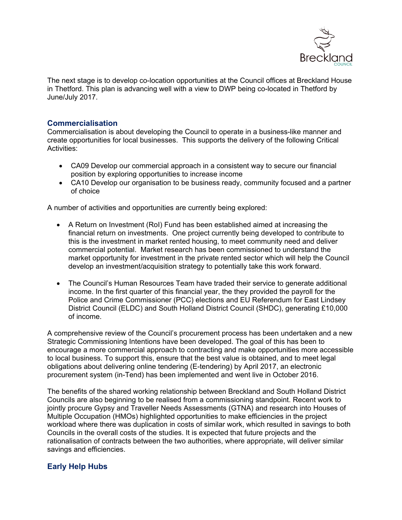

The next stage is to develop co-location opportunities at the Council offices at Breckland House in Thetford. This plan is advancing well with a view to DWP being co-located in Thetford by June/July 2017.

### **Commercialisation**

Commercialisation is about developing the Council to operate in a business-like manner and create opportunities for local businesses. This supports the delivery of the following Critical Activities:

- CA09 Develop our commercial approach in a consistent way to secure our financial position by exploring opportunities to increase income
- CA10 Develop our organisation to be business ready, community focused and a partner of choice

A number of activities and opportunities are currently being explored:

- A Return on Investment (RoI) Fund has been established aimed at increasing the financial return on investments. One project currently being developed to contribute to this is the investment in market rented housing, to meet community need and deliver commercial potential. Market research has been commissioned to understand the market opportunity for investment in the private rented sector which will help the Council develop an investment/acquisition strategy to potentially take this work forward.
- The Council's Human Resources Team have traded their service to generate additional income. In the first quarter of this financial year, the they provided the payroll for the Police and Crime Commissioner (PCC) elections and EU Referendum for East Lindsey District Council (ELDC) and South Holland District Council (SHDC), generating £10,000 of income.

A comprehensive review of the Council's procurement process has been undertaken and a new Strategic Commissioning Intentions have been developed. The goal of this has been to encourage a more commercial approach to contracting and make opportunities more accessible to local business. To support this, ensure that the best value is obtained, and to meet legal obligations about delivering online tendering (E-tendering) by April 2017, an electronic procurement system (in-Tend) has been implemented and went live in October 2016.

The benefits of the shared working relationship between Breckland and South Holland District Councils are also beginning to be realised from a commissioning standpoint. Recent work to jointly procure Gypsy and Traveller Needs Assessments (GTNA) and research into Houses of Multiple Occupation (HMOs) highlighted opportunities to make efficiencies in the project workload where there was duplication in costs of similar work, which resulted in savings to both Councils in the overall costs of the studies. It is expected that future projects and the rationalisation of contracts between the two authorities, where appropriate, will deliver similar savings and efficiencies.

# **Early Help Hubs**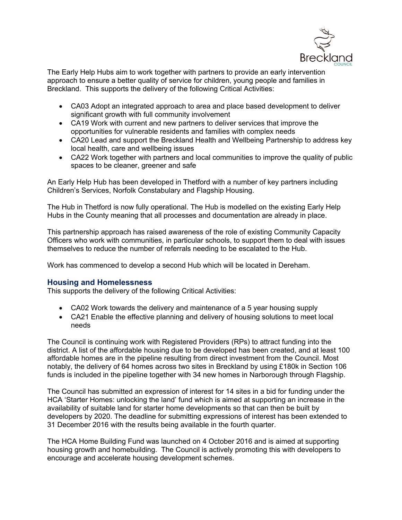

The Early Help Hubs aim to work together with partners to provide an early intervention approach to ensure a better quality of service for children, young people and families in Breckland. This supports the delivery of the following Critical Activities:

- CA03 Adopt an integrated approach to area and place based development to deliver significant growth with full community involvement
- CA19 Work with current and new partners to deliver services that improve the opportunities for vulnerable residents and families with complex needs
- CA20 Lead and support the Breckland Health and Wellbeing Partnership to address key local health, care and wellbeing issues
- CA22 Work together with partners and local communities to improve the quality of public spaces to be cleaner, greener and safe

An Early Help Hub has been developed in Thetford with a number of key partners including Children's Services, Norfolk Constabulary and Flagship Housing.

The Hub in Thetford is now fully operational. The Hub is modelled on the existing Early Help Hubs in the County meaning that all processes and documentation are already in place.

This partnership approach has raised awareness of the role of existing Community Capacity Officers who work with communities, in particular schools, to support them to deal with issues themselves to reduce the number of referrals needing to be escalated to the Hub.

Work has commenced to develop a second Hub which will be located in Dereham.

# **Housing and Homelessness**

This supports the delivery of the following Critical Activities:

- CA02 Work towards the delivery and maintenance of a 5 year housing supply
- CA21 Enable the effective planning and delivery of housing solutions to meet local needs

The Council is continuing work with Registered Providers (RPs) to attract funding into the district. A list of the affordable housing due to be developed has been created, and at least 100 affordable homes are in the pipeline resulting from direct investment from the Council. Most notably, the delivery of 64 homes across two sites in Breckland by using £180k in Section 106 funds is included in the pipeline together with 34 new homes in Narborough through Flagship.

The Council has submitted an expression of interest for 14 sites in a bid for funding under the HCA 'Starter Homes: unlocking the land' fund which is aimed at supporting an increase in the availability of suitable land for starter home developments so that can then be built by developers by 2020. The deadline for submitting expressions of interest has been extended to 31 December 2016 with the results being available in the fourth quarter.

The HCA Home Building Fund was launched on 4 October 2016 and is aimed at supporting housing growth and homebuilding. The Council is actively promoting this with developers to encourage and accelerate housing development schemes.